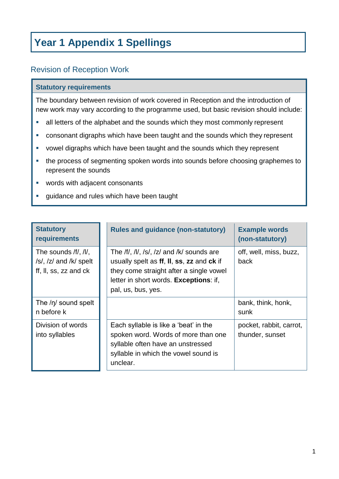## **Year 1 Appendix 1 Spellings**

## Revision of Reception Work

## **Statutory requirements**

The boundary between revision of work covered in Reception and the introduction of new work may vary according to the programme used, but basic revision should include:

- all letters of the alphabet and the sounds which they most commonly represent
- consonant digraphs which have been taught and the sounds which they represent
- **•** vowel digraphs which have been taught and the sounds which they represent
- the process of segmenting spoken words into sounds before choosing graphemes to represent the sounds
- **words with adjacent consonants**
- **guidance and rules which have been taught**

| <b>Statutory</b><br>requirements                                            | <b>Rules and guidance (non-statutory)</b>                                                                                                                                                         | <b>Example words</b><br>(non-statutory)    |
|-----------------------------------------------------------------------------|---------------------------------------------------------------------------------------------------------------------------------------------------------------------------------------------------|--------------------------------------------|
| The sounds /f/, /l/,<br>/s/, $/z/$ and $/k/$ spelt<br>ff, II, ss, zz and ck | The /f/, /l/, /s/, /z/ and /k/ sounds are<br>usually spelt as ff, II, ss, zz and ck if<br>they come straight after a single vowel<br>letter in short words. Exceptions: if,<br>pal, us, bus, yes. | off, well, miss, buzz,<br>back             |
| The $/n/$ sound spelt<br>n before k                                         |                                                                                                                                                                                                   | bank, think, honk,<br>sunk                 |
| Division of words<br>into syllables                                         | Each syllable is like a 'beat' in the<br>spoken word. Words of more than one<br>syllable often have an unstressed<br>syllable in which the vowel sound is<br>unclear.                             | pocket, rabbit, carrot,<br>thunder, sunset |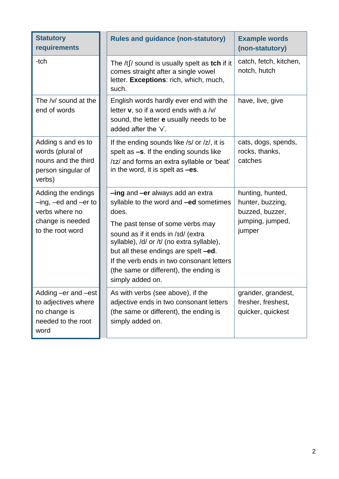| <b>Statutory</b><br>requirements                                                                              | <b>Rules and guidance (non-statutory)</b>                                                                                                                                                                                                                                                                                                                             | <b>Example words</b><br>(non-statutory)                                               |
|---------------------------------------------------------------------------------------------------------------|-----------------------------------------------------------------------------------------------------------------------------------------------------------------------------------------------------------------------------------------------------------------------------------------------------------------------------------------------------------------------|---------------------------------------------------------------------------------------|
| -tch                                                                                                          | The $/t$ sound is usually spelt as tch if it<br>comes straight after a single vowel<br>letter. Exceptions: rich, which, much,<br>such.                                                                                                                                                                                                                                | catch, fetch, kitchen,<br>notch, hutch                                                |
| The /v/ sound at the<br>end of words                                                                          | English words hardly ever end with the<br>letter $v$ , so if a word ends with a /v/<br>sound, the letter e usually needs to be<br>added after the 'v'.                                                                                                                                                                                                                | have, live, give                                                                      |
| Adding s and es to<br>words (plural of<br>nouns and the third<br>person singular of<br>verbs)                 | If the ending sounds like /s/ or /z/, it is<br>spelt as $-s$ . If the ending sounds like<br>/Iz/ and forms an extra syllable or 'beat'<br>in the word, it is spelt as -es.                                                                                                                                                                                            | cats, dogs, spends,<br>rocks, thanks,<br>catches                                      |
| Adding the endings<br>$-$ ing, $-$ ed and $-$ er to<br>verbs where no<br>change is needed<br>to the root word | -ing and -er always add an extra<br>syllable to the word and <b>-ed</b> sometimes<br>does.<br>The past tense of some verbs may<br>sound as if it ends in /Id/ (extra<br>syllable), /d/ or /t/ (no extra syllable),<br>but all these endings are spelt -ed.<br>If the verb ends in two consonant letters<br>(the same or different), the ending is<br>simply added on. | hunting, hunted,<br>hunter, buzzing,<br>buzzed, buzzer,<br>jumping, jumped,<br>jumper |
| Adding –er and –est<br>to adjectives where<br>no change is<br>needed to the root<br>word                      | As with verbs (see above), if the<br>adjective ends in two consonant letters<br>(the same or different), the ending is<br>simply added on.                                                                                                                                                                                                                            | grander, grandest,<br>fresher, freshest,<br>quicker, quickest                         |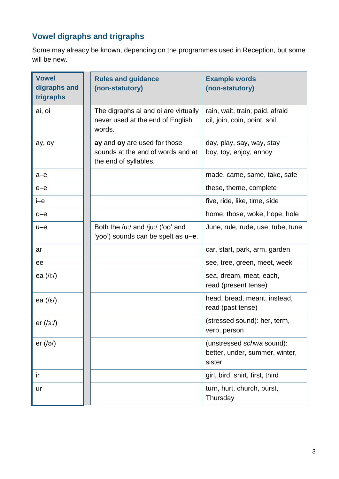## **Vowel digraphs and trigraphs**

Some may already be known, depending on the programmes used in Reception, but some will be new.

| <b>Vowel</b><br>digraphs and<br>trigraphs | <b>Rules and guidance</b><br>(non-statutory)                                               | <b>Example words</b><br>(non-statutory)                               |
|-------------------------------------------|--------------------------------------------------------------------------------------------|-----------------------------------------------------------------------|
| ai, oi                                    | The digraphs ai and oi are virtually<br>never used at the end of English<br>words.         | rain, wait, train, paid, afraid<br>oil, join, coin, point, soil       |
| ay, oy                                    | ay and oy are used for those<br>sounds at the end of words and at<br>the end of syllables. | day, play, say, way, stay<br>boy, toy, enjoy, annoy                   |
| $a-e$                                     |                                                                                            | made, came, same, take, safe                                          |
| $e$ - $e$                                 |                                                                                            | these, theme, complete                                                |
| i-e                                       |                                                                                            | five, ride, like, time, side                                          |
| $o$ –e                                    |                                                                                            | home, those, woke, hope, hole                                         |
| $u-e$                                     | Both the /u:/ and /ju:/ ('oo' and<br>'yoo') sounds can be spelt as <b>u-e</b> .            | June, rule, rude, use, tube, tune                                     |
| ar                                        |                                                                                            | car, start, park, arm, garden                                         |
| ee                                        |                                                                                            | see, tree, green, meet, week                                          |
| ea (/iː/)                                 |                                                                                            | sea, dream, meat, each,<br>read (present tense)                       |
| ea $(\sqrt{\epsilon})$                    |                                                                                            | head, bread, meant, instead,<br>read (past tense)                     |
| er $(13:1)$                               |                                                                                            | (stressed sound): her, term,<br>verb, person                          |
| er $(\sqrt{e})$                           |                                                                                            | (unstressed schwa sound):<br>better, under, summer, winter,<br>sister |
| ir                                        |                                                                                            | girl, bird, shirt, first, third                                       |
| ur                                        |                                                                                            | turn, hurt, church, burst,<br>Thursday                                |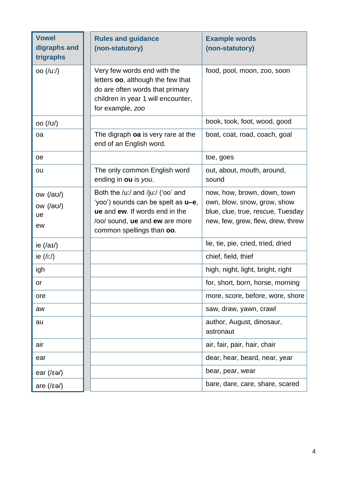| <b>Vowel</b><br>digraphs and<br>trigraphs   | <b>Rules and guidance</b><br>(non-statutory)                                                                                                                             | <b>Example words</b><br>(non-statutory)                                                                                              |
|---------------------------------------------|--------------------------------------------------------------------------------------------------------------------------------------------------------------------------|--------------------------------------------------------------------------------------------------------------------------------------|
| oo ( /u: / )                                | Very few words end with the<br>letters oo, although the few that<br>do are often words that primary<br>children in year 1 will encounter,<br>for example, zoo            | food, pool, moon, zoo, soon                                                                                                          |
| OO (U)                                      |                                                                                                                                                                          | book, took, foot, wood, good                                                                                                         |
| oa                                          | The digraph oa is very rare at the<br>end of an English word.                                                                                                            | boat, coat, road, coach, goal                                                                                                        |
| oe                                          |                                                                                                                                                                          | toe, goes                                                                                                                            |
| ou                                          | The only common English word<br>ending in ou is you.                                                                                                                     | out, about, mouth, around,<br>sound                                                                                                  |
| ow $(\sqrt{a}U)$<br>$OW$ (/au/)<br>ue<br>ew | Both the /u:/ and /ju:/ ('oo' and<br>'yoo') sounds can be spelt as u-e,<br>ue and ew. If words end in the<br>lool sound, ue and ew are more<br>common spellings than oo. | now, how, brown, down, town<br>own, blow, snow, grow, show<br>blue, clue, true, rescue, Tuesday<br>new, few, grew, flew, drew, threw |
| ie $(\overline{aI})$                        |                                                                                                                                                                          | lie, tie, pie, cried, tried, dried                                                                                                   |
| ie $(\overline{\mathsf{I}}$ :/)             |                                                                                                                                                                          | chief, field, thief                                                                                                                  |
| igh                                         |                                                                                                                                                                          | high, night, light, bright, right                                                                                                    |
| or                                          |                                                                                                                                                                          | for, short, born, horse, morning                                                                                                     |
| ore                                         |                                                                                                                                                                          | more, score, before, wore, shore                                                                                                     |
| aw                                          |                                                                                                                                                                          | saw, draw, yawn, crawl                                                                                                               |
| au                                          |                                                                                                                                                                          | author, August, dinosaur,<br>astronaut                                                                                               |
| air                                         |                                                                                                                                                                          | air, fair, pair, hair, chair                                                                                                         |
| ear                                         |                                                                                                                                                                          | dear, hear, beard, near, year                                                                                                        |
| ear $(\sqrt{\epsilon}a)$                    |                                                                                                                                                                          | bear, pear, wear                                                                                                                     |
| are $(\sqrt{\epsilon}a)$                    |                                                                                                                                                                          | bare, dare, care, share, scared                                                                                                      |